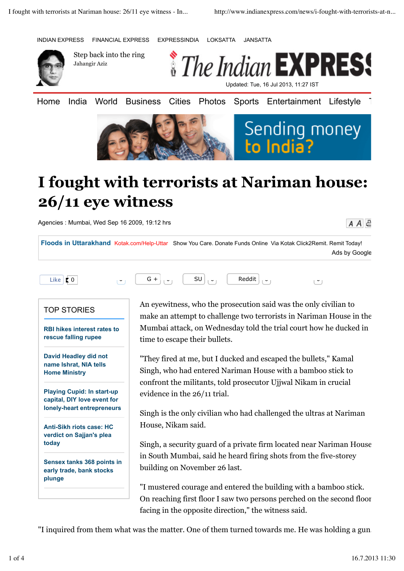INDIAN EXPRESS FINANCIAL EXPRESS EXPRESSINDIA LOKSATTA JANSATTA



Step back into the ring Jahangir Aziz



Home India World Business Cities Photos Sports Entertainment Lifestyle





## **I fought with terrorists at Nariman house: 26/11 eye witness**

Agencies : Mumbai, Wed Sep 16 2009, 19:12 hrs

 $A \overline{A}$ 

**Floods in Uttarakhand** Kotak.com/Help-Uttar Show You Care. Donate Funds Online Via Kotak Click2Remit. Remit Today! Ads by Google



## TOP STORIES

**RBI hikes interest rates to rescue falling rupee**

**David Headley did not name Ishrat, NIA tells Home Ministry**

**Playing Cupid: In start-up capital, DIY love event for lonely-heart entrepreneurs**

**Anti-Sikh riots case: HC verdict on Sajjan's plea today**

**Sensex tanks 368 points in early trade, bank stocks plunge**

An eyewitness, who the prosecution said was the only civilian to make an attempt to challenge two terrorists in Nariman House in the Mumbai attack, on Wednesday told the trial court how he ducked in time to escape their bullets.

"They fired at me, but I ducked and escaped the bullets," Kamal Singh, who had entered Nariman House with a bamboo stick to confront the militants, told prosecutor Ujjwal Nikam in crucial evidence in the 26/11 trial.

Singh is the only civilian who had challenged the ultras at Nariman House, Nikam said.

Singh, a security guard of a private firm located near Nariman House in South Mumbai, said he heard firing shots from the five-storey building on November 26 last.

"I mustered courage and entered the building with a bamboo stick. On reaching first floor I saw two persons perched on the second floor facing in the opposite direction," the witness said.

"I inquired from them what was the matter. One of them turned towards me. He was holding a gun.